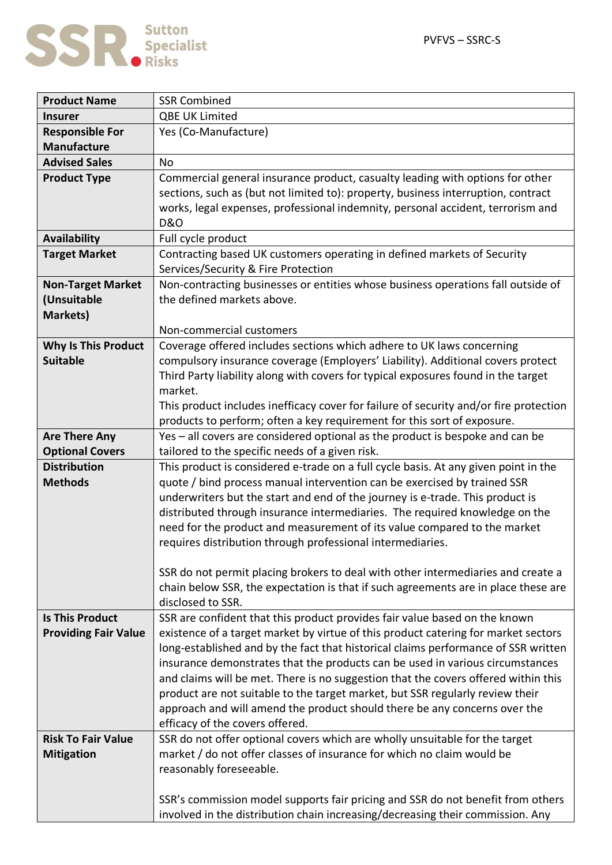

| <b>Product Name</b>         | <b>SSR Combined</b>                                                                                                                                              |
|-----------------------------|------------------------------------------------------------------------------------------------------------------------------------------------------------------|
| <b>Insurer</b>              | <b>QBE UK Limited</b>                                                                                                                                            |
| <b>Responsible For</b>      | Yes (Co-Manufacture)                                                                                                                                             |
| <b>Manufacture</b>          |                                                                                                                                                                  |
| <b>Advised Sales</b>        | <b>No</b>                                                                                                                                                        |
| <b>Product Type</b>         | Commercial general insurance product, casualty leading with options for other                                                                                    |
|                             | sections, such as (but not limited to): property, business interruption, contract                                                                                |
|                             | works, legal expenses, professional indemnity, personal accident, terrorism and                                                                                  |
|                             | <b>D&amp;O</b>                                                                                                                                                   |
| <b>Availability</b>         | Full cycle product                                                                                                                                               |
| <b>Target Market</b>        | Contracting based UK customers operating in defined markets of Security                                                                                          |
|                             | Services/Security & Fire Protection                                                                                                                              |
| <b>Non-Target Market</b>    | Non-contracting businesses or entities whose business operations fall outside of                                                                                 |
| (Unsuitable                 | the defined markets above.                                                                                                                                       |
| <b>Markets)</b>             |                                                                                                                                                                  |
|                             | Non-commercial customers                                                                                                                                         |
| <b>Why Is This Product</b>  | Coverage offered includes sections which adhere to UK laws concerning                                                                                            |
| <b>Suitable</b>             | compulsory insurance coverage (Employers' Liability). Additional covers protect                                                                                  |
|                             | Third Party liability along with covers for typical exposures found in the target                                                                                |
|                             | market.                                                                                                                                                          |
|                             | This product includes inefficacy cover for failure of security and/or fire protection                                                                            |
|                             | products to perform; often a key requirement for this sort of exposure.                                                                                          |
| <b>Are There Any</b>        | Yes - all covers are considered optional as the product is bespoke and can be                                                                                    |
| <b>Optional Covers</b>      | tailored to the specific needs of a given risk.                                                                                                                  |
| <b>Distribution</b>         | This product is considered e-trade on a full cycle basis. At any given point in the                                                                              |
| <b>Methods</b>              | quote / bind process manual intervention can be exercised by trained SSR                                                                                         |
|                             | underwriters but the start and end of the journey is e-trade. This product is                                                                                    |
|                             | distributed through insurance intermediaries. The required knowledge on the                                                                                      |
|                             | need for the product and measurement of its value compared to the market                                                                                         |
|                             | requires distribution through professional intermediaries.                                                                                                       |
|                             |                                                                                                                                                                  |
|                             | SSR do not permit placing brokers to deal with other intermediaries and create a                                                                                 |
|                             | chain below SSR, the expectation is that if such agreements are in place these are                                                                               |
| <b>Is This Product</b>      | disclosed to SSR.                                                                                                                                                |
|                             | SSR are confident that this product provides fair value based on the known<br>existence of a target market by virtue of this product catering for market sectors |
| <b>Providing Fair Value</b> | long-established and by the fact that historical claims performance of SSR written                                                                               |
|                             | insurance demonstrates that the products can be used in various circumstances                                                                                    |
|                             | and claims will be met. There is no suggestion that the covers offered within this                                                                               |
|                             | product are not suitable to the target market, but SSR regularly review their                                                                                    |
|                             | approach and will amend the product should there be any concerns over the                                                                                        |
|                             | efficacy of the covers offered.                                                                                                                                  |
| <b>Risk To Fair Value</b>   | SSR do not offer optional covers which are wholly unsuitable for the target                                                                                      |
| <b>Mitigation</b>           | market / do not offer classes of insurance for which no claim would be                                                                                           |
|                             | reasonably foreseeable.                                                                                                                                          |
|                             |                                                                                                                                                                  |
|                             | SSR's commission model supports fair pricing and SSR do not benefit from others                                                                                  |
|                             | involved in the distribution chain increasing/decreasing their commission. Any                                                                                   |